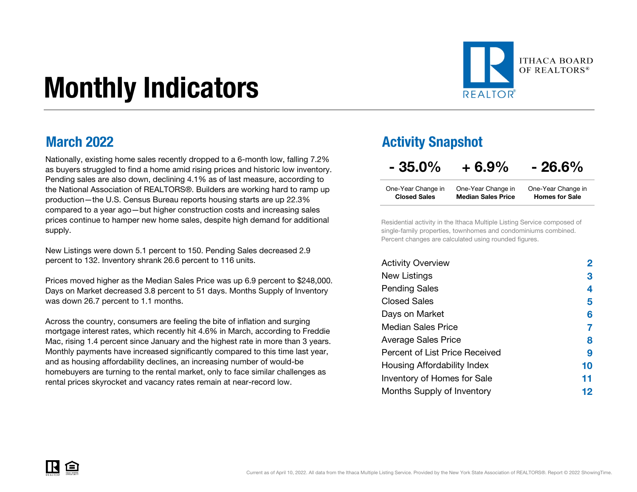# Monthly Indicators



### March 2022

Nationally, existing home sales recently dropped to a 6-month low, falling 7.2% as buyers struggled to find a home amid rising prices and historic low inventory. Pending sales are also down, declining 4.1% as of last measure, according to the National Association of REALTORS®. Builders are working hard to ramp up production—the U.S. Census Bureau reports housing starts are up 22.3% compared to a year ago—but higher construction costs and increasing sales prices continue to hamper new home sales, despite high demand for additional supply.

New Listings were down 5.1 percent to 150. Pending Sales decreased 2.9 percent to 132. Inventory shrank 26.6 percent to 116 units.

Prices moved higher as the Median Sales Price was up 6.9 percent to \$248,000. Days on Market decreased 3.8 percent to 51 days. Months Supply of Inventory was down 26.7 percent to 1.1 months.

Across the country, consumers are feeling the bite of inflation and surging mortgage interest rates, which recently hit 4.6% in March, according to Freddie Mac, rising 1.4 percent since January and the highest rate in more than 3 years. Monthly payments have increased significantly compared to this time last year, and as housing affordability declines, an increasing number of would-be homebuyers are turning to the rental market, only to face similar challenges as rental prices skyrocket and vacancy rates remain at near-record low.

### Activity Snapshot

| $-35.0%$ | $+6.9%$ | $-26.6%$ |
|----------|---------|----------|
|----------|---------|----------|

| One-Year Change in  | One-Year Change in        | One-Year Change in    |
|---------------------|---------------------------|-----------------------|
| <b>Closed Sales</b> | <b>Median Sales Price</b> | <b>Homes for Sale</b> |

Residential activity in the Ithaca Multiple Listing Service composed of single-family properties, townhomes and condominiums combined. Percent changes are calculated using rounded figures.

| <b>Activity Overview</b>       |    |
|--------------------------------|----|
| New Listings                   | 3  |
| <b>Pending Sales</b>           | 4  |
| <b>Closed Sales</b>            | 5  |
| Days on Market                 | 6  |
| Median Sales Price             |    |
| <b>Average Sales Price</b>     | 8  |
| Percent of List Price Received | 9  |
| Housing Affordability Index    | 10 |
| Inventory of Homes for Sale    | 11 |
| Months Supply of Inventory     | 12 |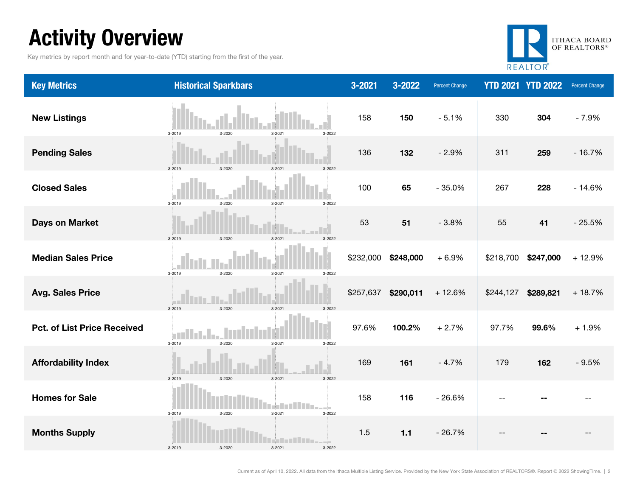## Activity Overview

Key metrics by report month and for year-to-date (YTD) starting from the first of the year.



| <b>Key Metrics</b>                 | <b>Historical Sparkbars</b>                     | $3 - 2021$ | 3-2022    | <b>Percent Change</b> |                          | <b>YTD 2021 YTD 2022</b> | <b>Percent Change</b> |
|------------------------------------|-------------------------------------------------|------------|-----------|-----------------------|--------------------------|--------------------------|-----------------------|
| <b>New Listings</b>                | 3-2019<br>3-2020<br>$3 - 2021$<br>3-2022        | 158        | 150       | $-5.1%$               | 330                      | 304                      | $-7.9%$               |
| <b>Pending Sales</b>               | 3-2020<br>3-2019<br>3-2021<br>3-2022            | 136        | 132       | $-2.9%$               | 311                      | 259                      | $-16.7%$              |
| <b>Closed Sales</b>                | 3-2019<br>3-2020<br>3-2021<br>3-2022            | 100        | 65        | $-35.0%$              | 267                      | 228                      | $-14.6%$              |
| <b>Days on Market</b>              | 3-2019<br>3-2020<br>3-2021<br>3-2022            | 53         | 51        | $-3.8%$               | 55                       | 41                       | $-25.5%$              |
| <b>Median Sales Price</b>          | 3-2019<br>$3 - 2020$<br>3-2021<br>3-2022        | \$232,000  | \$248,000 | $+6.9%$               | \$218,700                | \$247,000                | $+12.9%$              |
| <b>Avg. Sales Price</b>            | 3-2019<br>$3 - 2020$<br>3-2021<br>3-2022        | \$257,637  | \$290,011 | $+12.6%$              | \$244,127                | \$289,821                | $+18.7%$              |
| <b>Pct. of List Price Received</b> | 3-2019<br>3-2021<br>3-2020<br>3-2022            | 97.6%      | 100.2%    | $+2.7%$               | 97.7%                    | 99.6%                    | $+1.9%$               |
| <b>Affordability Index</b>         | 3-2020<br>3-2019<br>$3 - 2021$<br>3-2022        | 169        | 161       | $-4.7%$               | 179                      | 162                      | $-9.5%$               |
| <b>Homes for Sale</b>              | 3-2019<br>3-2020<br>3-2021<br>3-2022            | 158        | 116       | $-26.6%$              | $\overline{\phantom{a}}$ |                          |                       |
| <b>Months Supply</b>               | an Char<br>3-2019<br>3-2020<br>3-2021<br>3-2022 | 1.5        | 1.1       | $-26.7%$              |                          |                          |                       |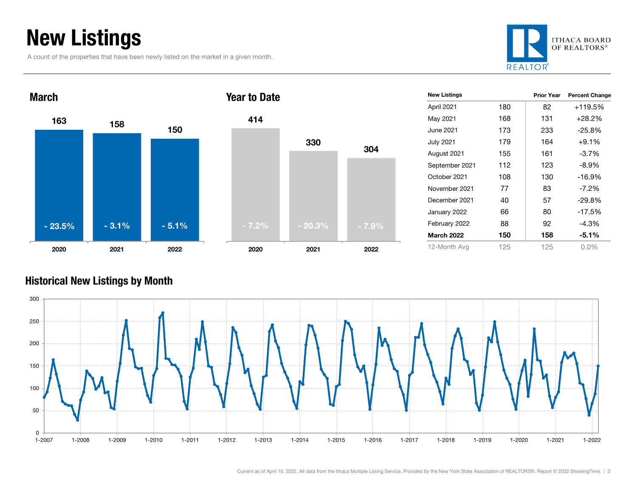## New Listings

A count of the properties that have been newly listed on the market in a given month.





| <b>New Listings</b> |     | <b>Prior Year</b> | <b>Percent Change</b> |
|---------------------|-----|-------------------|-----------------------|
| April 2021          | 180 | 82                | +119.5%               |
| May 2021            | 168 | 131               | $+28.2\%$             |
| June 2021           | 173 | 233               | $-25.8%$              |
| July 2021           | 179 | 164               | $+9.1%$               |
| August 2021         | 155 | 161               | $-3.7\%$              |
| September 2021      | 112 | 123               | $-8.9\%$              |
| October 2021        | 108 | 130               | $-16.9%$              |
| November 2021       | 77  | 83                | $-7.2\%$              |
| December 2021       | 40  | 57                | $-29.8%$              |
| January 2022        | 66  | 80                | $-17.5%$              |
| February 2022       | 88  | 92                | -4.3%                 |
| <b>March 2022</b>   | 150 | 158               | -5.1%                 |
| 12-Month Avg        | 125 | 125               | $0.0\%$               |

#### Historical New Listings by Month



304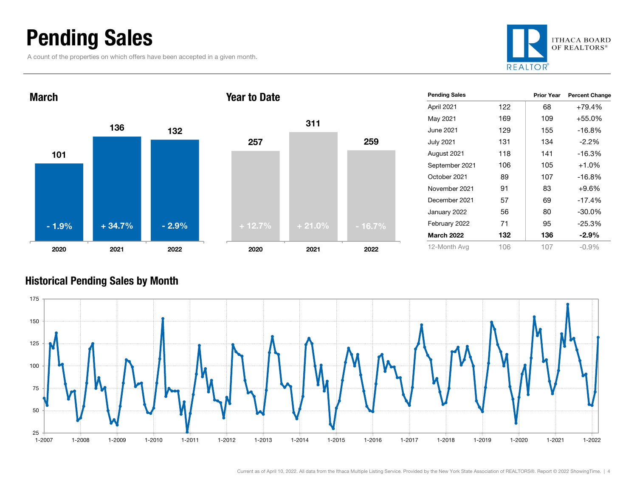### Pending Sales

March

A count of the properties on which offers have been accepted in a given month.







Year to Date

| <b>Pending Sales</b> |     | <b>Prior Year</b> | <b>Percent Change</b> |
|----------------------|-----|-------------------|-----------------------|
| April 2021           | 122 | 68                | $+79.4%$              |
| May 2021             | 169 | 109               | $+55.0%$              |
| June 2021            | 129 | 155               | $-16.8%$              |
| July 2021            | 131 | 134               | $-2.2%$               |
| August 2021          | 118 | 141               | $-16.3%$              |
| September 2021       | 106 | 105               | $+1.0%$               |
| October 2021         | 89  | 107               | $-16.8%$              |
| November 2021        | 91  | 83                | $+9.6%$               |
| December 2021        | 57  | 69                | $-17.4%$              |
| January 2022         | 56  | 80                | $-30.0\%$             |
| February 2022        | 71  | 95                | $-25.3%$              |
| <b>March 2022</b>    | 132 | 136               | $-2.9\%$              |
| 12-Month Avg         | 106 | 107               | $-0.9\%$              |

#### Historical Pending Sales by Month

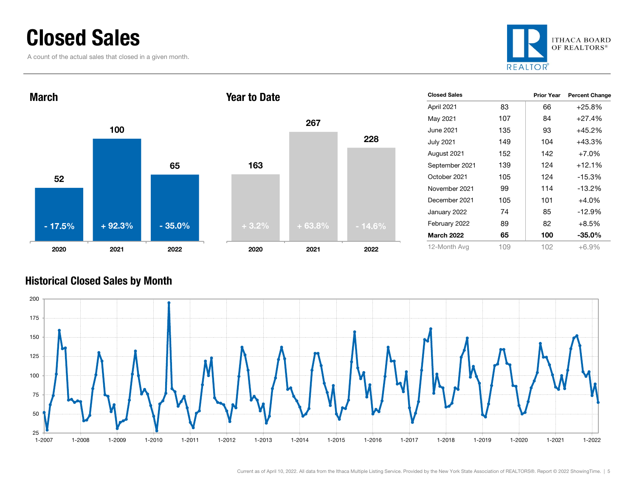### Closed Sales

A count of the actual sales that closed in a given month.





| <b>Closed Sales</b> |     | <b>Prior Year</b> | <b>Percent Change</b> |
|---------------------|-----|-------------------|-----------------------|
| April 2021          | 83  | 66                | $+25.8%$              |
| May 2021            | 107 | 84                | $+27.4%$              |
| June 2021           | 135 | 93                | $+45.2%$              |
| July 2021           | 149 | 104               | +43.3%                |
| August 2021         | 152 | 142               | $+7.0%$               |
| September 2021      | 139 | 124               | $+12.1%$              |
| October 2021        | 105 | 124               | $-15.3%$              |
| November 2021       | 99  | 114               | $-13.2%$              |
| December 2021       | 105 | 101               | $+4.0%$               |
| January 2022        | 74  | 85                | $-12.9%$              |
| February 2022       | 89  | 82                | $+8.5%$               |
| <b>March 2022</b>   | 65  | 100               | $-35.0%$              |
| 12-Month Avg        | 109 | 102               | $+6.9\%$              |

#### Historical Closed Sales by Month



Current as of April 10, 2022. All data from the Ithaca Multiple Listing Service. Provided by the New York State Association of REALTORS®. Report © 2022 ShowingTime. | 5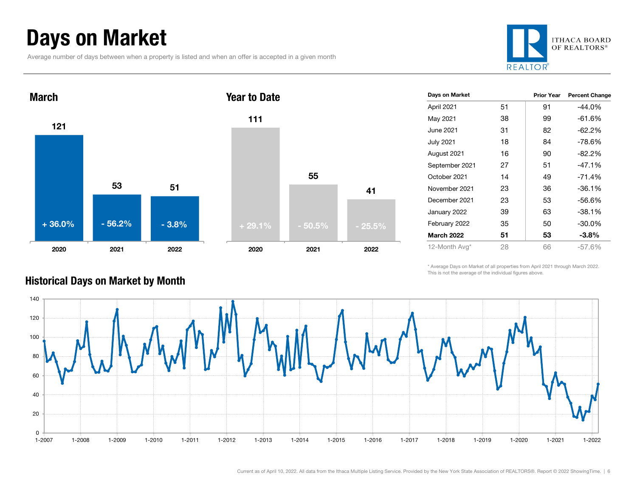## Days on Market

Average number of days between when a property is listed and when an offer is accepted in a given month







| Days on Market    |    | <b>Prior Year</b> | <b>Percent Change</b> |
|-------------------|----|-------------------|-----------------------|
| April 2021        | 51 | 91                | $-44.0%$              |
| May 2021          | 38 | 99                | $-61.6%$              |
| June 2021         | 31 | 82                | $-62.2%$              |
| <b>July 2021</b>  | 18 | 84                | -78.6%                |
| August 2021       | 16 | 90                | $-82.2%$              |
| September 2021    | 27 | 51                | $-47.1%$              |
| October 2021      | 14 | 49                | $-71.4%$              |
| November 2021     | 23 | 36                | $-36.1%$              |
| December 2021     | 23 | 53                | $-56.6%$              |
| January 2022      | 39 | 63                | $-38.1%$              |
| February 2022     | 35 | 50                | $-30.0%$              |
| <b>March 2022</b> | 51 | 53                | $-3.8\%$              |
| 12-Month Avg*     | 28 | 66                | $-57.6%$              |

\* Average Days on Market of all properties from April 2021 through March 2022. This is not the average of the individual figures above.



### Historical Days on Market by Month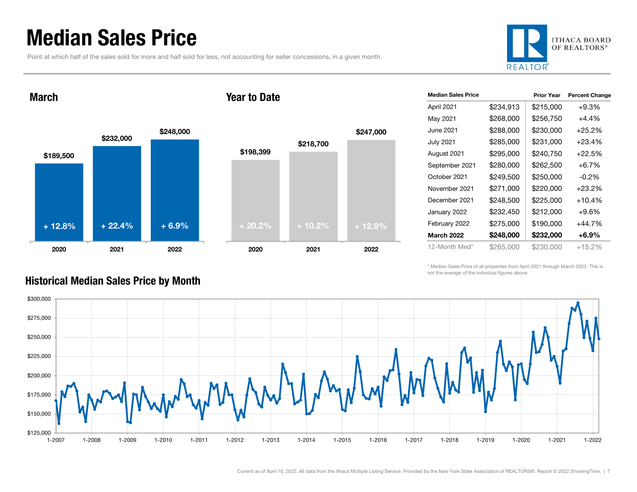### Median Sales Price

Point at which half of the sales sold for more and half sold for less, not accounting for seller concessions, in a given month.



March





| <b>Median Sales Price</b> |           | <b>Prior Year</b> | <b>Percent Change</b> |
|---------------------------|-----------|-------------------|-----------------------|
| April 2021                | \$234,913 | \$215,000         | $+9.3%$               |
| May 2021                  | \$268,000 | \$256,750         | $+4.4\%$              |
| June 2021                 | \$288,000 | \$230,000         | $+25.2%$              |
| <b>July 2021</b>          | \$285,000 | \$231,000         | +23.4%                |
| August 2021               | \$295,000 | \$240,750         | +22.5%                |
| September 2021            | \$280,000 | \$262,500         | $+6.7\%$              |
| October 2021              | \$249,500 | \$250,000         | $-0.2\%$              |
| November 2021             | \$271,000 | \$220,000         | $+23.2%$              |
| December 2021             | \$248,500 | \$225,000         | +10.4%                |
| January 2022              | \$232,450 | \$212,000         | $+9.6%$               |
| February 2022             | \$275,000 | \$190,000         | +44.7%                |
| <b>March 2022</b>         | \$248,000 | \$232,000         | +6.9%                 |
| 12-Month Med*             | \$265.000 | \$230,000         | +15.2%                |

\* Median Sales Price of all properties from April 2021 through March 2022. This is not the average of the individual figures above.



#### Historical Median Sales Price by Month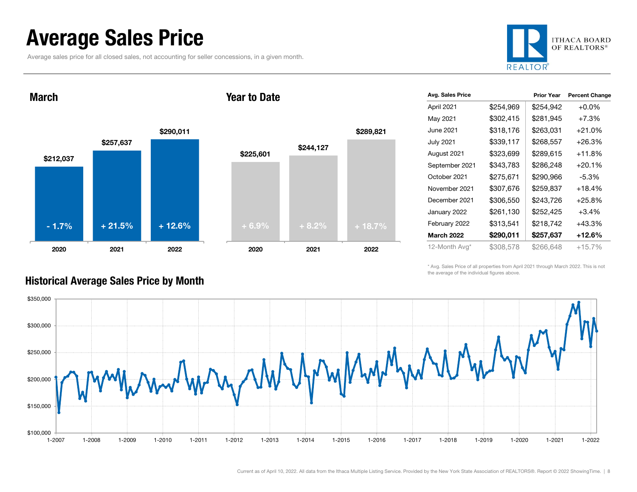### Average Sales Price

Average sales price for all closed sales, not accounting for seller concessions, in a given month.



March

#### Year to Date



| Avg. Sales Price  |           | <b>Prior Year</b> | <b>Percent Change</b> |
|-------------------|-----------|-------------------|-----------------------|
| April 2021        | \$254,969 | \$254,942         | $+0.0\%$              |
| May 2021          | \$302,415 | \$281,945         | $+7.3%$               |
| June 2021         | \$318,176 | \$263,031         | $+21.0%$              |
| <b>July 2021</b>  | \$339,117 | \$268,557         | +26.3%                |
| August 2021       | \$323,699 | \$289,615         | $+11.8%$              |
| September 2021    | \$343,783 | \$286,248         | $+20.1%$              |
| October 2021      | \$275,671 | \$290,966         | $-5.3%$               |
| November 2021     | \$307,676 | \$259,837         | $+18.4%$              |
| December 2021     | \$306,550 | \$243,726         | $+25.8%$              |
| January 2022      | \$261,130 | \$252,425         | $+3.4\%$              |
| February 2022     | \$313,541 | \$218,742         | +43.3%                |
| <b>March 2022</b> | \$290,011 | \$257,637         | +12.6%                |
| 12-Month Avg*     | \$308,578 | \$266,648         | +15.7%                |

\* Avg. Sales Price of all properties from April 2021 through March 2022. This is not the average of the individual figures above.



#### Historical Average Sales Price by Month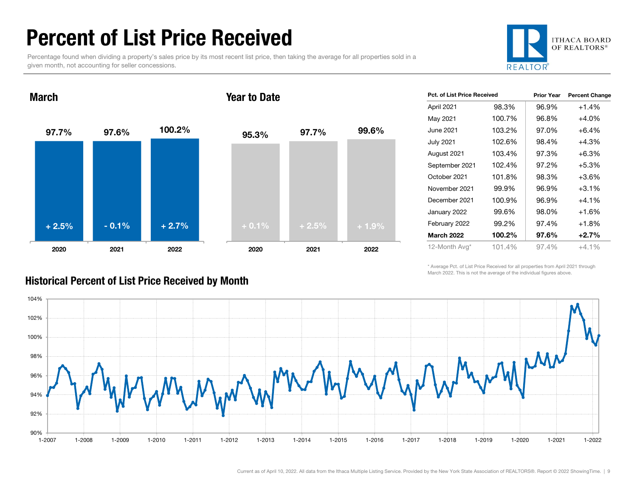### Percent of List Price Received

Percentage found when dividing a property's sales price by its most recent list price, then taking the average for all properties sold in a given month, not accounting for seller concessions.



#### 97.7% 97.6% 100.2% 2020 2021 2022 March95.3% 97.7% 99.6% 2020 2021 2022 Year to Date+ 2.5% $\%$  - 0.1% + 2.7% + 0.1% + 0.1% + 2.5% + 1.9%

| <b>Pct. of List Price Received</b> |        | <b>Prior Year</b> | <b>Percent Change</b> |
|------------------------------------|--------|-------------------|-----------------------|
| April 2021                         | 98.3%  | 96.9%             | $+1.4%$               |
| May 2021                           | 100.7% | 96.8%             | $+4.0%$               |
| June 2021                          | 103.2% | 97.0%             | $+6.4%$               |
| <b>July 2021</b>                   | 102.6% | 98.4%             | $+4.3%$               |
| August 2021                        | 103.4% | 97.3%             | $+6.3%$               |
| September 2021                     | 102.4% | 97.2%             | +5.3%                 |
| October 2021                       | 101.8% | 98.3%             | $+3.6%$               |
| November 2021                      | 99.9%  | 96.9%             | $+3.1%$               |
| December 2021                      | 100.9% | 96.9%             | $+4.1%$               |
| January 2022                       | 99.6%  | 98.0%             | $+1.6%$               |
| February 2022                      | 99.2%  | 97.4%             | $+1.8%$               |
| <b>March 2022</b>                  | 100.2% | 97.6%             | $+2.7%$               |
| 12-Month Avg*                      | 101.4% | 97.4%             | $+4.1%$               |

\* Average Pct. of List Price Received for all properties from April 2021 through March 2022. This is not the average of the individual figures above.



#### Historical Percent of List Price Received by Month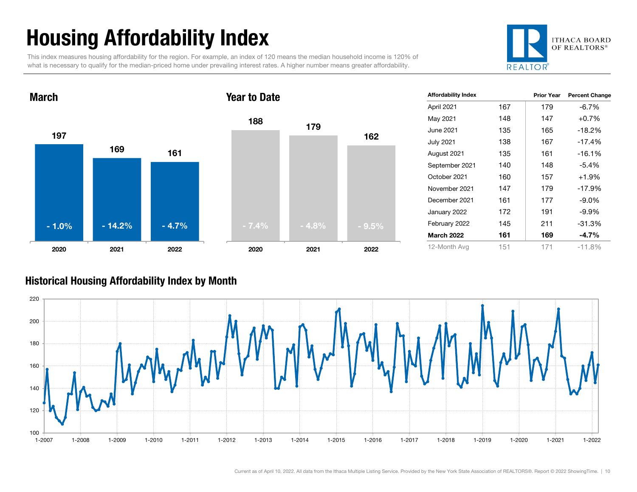## Housing Affordability Index

This index measures housing affordability for the region. For example, an index of 120 means the median household income is 120% of what is necessary to qualify for the median-priced home under prevailing interest rates. A higher number means greater affordability.





| <b>Affordability Index</b> |     | <b>Prior Year</b> | <b>Percent Change</b> |
|----------------------------|-----|-------------------|-----------------------|
| April 2021                 | 167 | 179               | $-6.7%$               |
| May 2021                   | 148 | 147               | $+0.7%$               |
| June 2021                  | 135 | 165               | $-18.2%$              |
| <b>July 2021</b>           | 138 | 167               | $-17.4%$              |
| August 2021                | 135 | 161               | $-16.1%$              |
| September 2021             | 140 | 148               | $-5.4%$               |
| October 2021               | 160 | 157               | $+1.9%$               |
| November 2021              | 147 | 179               | $-17.9%$              |
| December 2021              | 161 | 177               | $-9.0\%$              |
| January 2022               | 172 | 191               | $-9.9\%$              |
| February 2022              | 145 | 211               | $-31.3%$              |
| <b>March 2022</b>          | 161 | 169               | $-4.7%$               |
| 12-Month Avg               | 151 | 171               | $-11.8%$              |

#### Historical Housing Affordability Index by Mont h

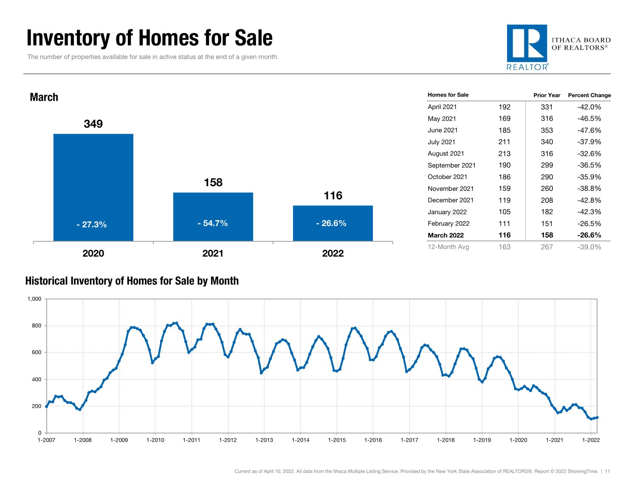### Inventory of Homes for Sale

The number of properties available for sale in active status at the end of a given month.





#### Historical Inventory of Homes for Sale by Month

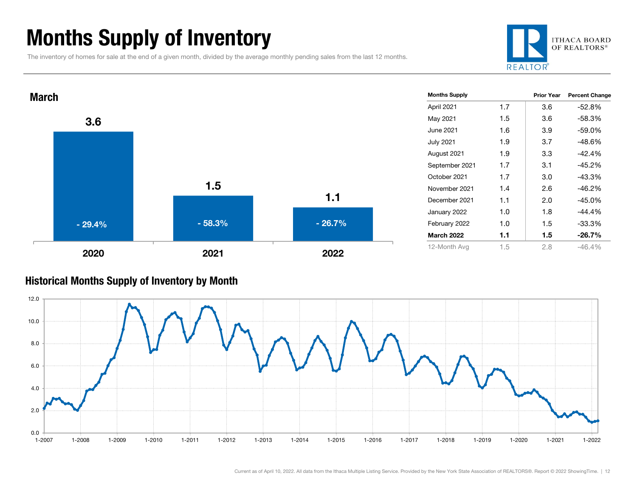### Months Supply of Inventory

The inventory of homes for sale at the end of a given month, divided by the average monthly pending sales from the last 12 months.





#### Historical Months Supply of Inventory by Month

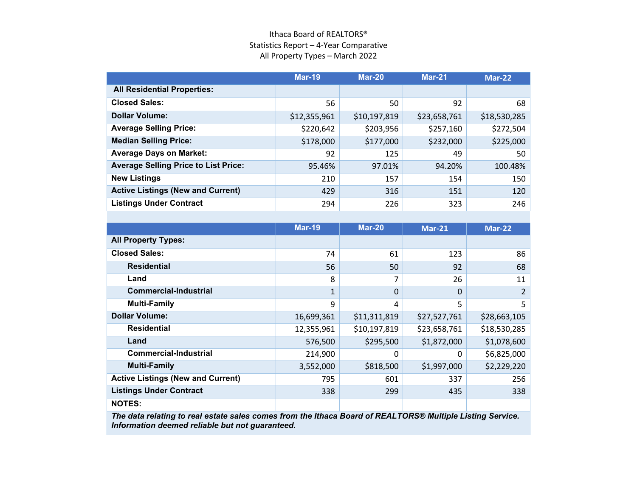#### Ithaca Board of REALTORS® Statistics Report – 4-Year Comparative All Property Types – March 2022

|                                             | <b>Mar-19</b> | <b>Mar-20</b> | <b>Mar-21</b> | $Mar-22$     |
|---------------------------------------------|---------------|---------------|---------------|--------------|
| <b>All Residential Properties:</b>          |               |               |               |              |
| <b>Closed Sales:</b>                        | 56            | 50            | 92            | 68           |
| <b>Dollar Volume:</b>                       | \$12,355,961  | \$10,197,819  | \$23,658,761  | \$18,530,285 |
| <b>Average Selling Price:</b>               | \$220,642     | \$203,956     | \$257,160     | \$272,504    |
| <b>Median Selling Price:</b>                | \$178,000     | \$177,000     | \$232,000     | \$225,000    |
| <b>Average Days on Market:</b>              | 92            | 125           | 49            | 50           |
| <b>Average Selling Price to List Price:</b> | 95.46%        | 97.01%        | 94.20%        | 100.48%      |
| <b>New Listings</b>                         | 210           | 157           | 154           | 150          |
| <b>Active Listings (New and Current)</b>    | 429           | 316           | 151           | 120          |
| <b>Listings Under Contract</b>              | 294           | 226           | 323           | 246          |

|                                          | <b>Mar-19</b> | <b>Mar-20</b> | <b>Mar-21</b> | <b>Mar-22</b> |
|------------------------------------------|---------------|---------------|---------------|---------------|
| <b>All Property Types:</b>               |               |               |               |               |
| <b>Closed Sales:</b>                     | 74            | 61            | 123           | 86            |
| <b>Residential</b>                       | 56            | 50            | 92            | 68            |
| Land                                     | 8             | 7             | 26            | 11            |
| <b>Commercial-Industrial</b>             | $\mathbf{1}$  | $\Omega$      | $\Omega$      | 2             |
| <b>Multi-Family</b>                      | 9             | 4             | 5             | 5             |
| <b>Dollar Volume:</b>                    | 16,699,361    | \$11,311,819  | \$27,527,761  | \$28,663,105  |
| <b>Residential</b>                       | 12,355,961    | \$10,197,819  | \$23,658,761  | \$18,530,285  |
| Land                                     | 576,500       | \$295,500     | \$1,872,000   | \$1,078,600   |
| <b>Commercial-Industrial</b>             | 214,900       | 0             | 0             | \$6,825,000   |
| <b>Multi-Family</b>                      | 3,552,000     | \$818,500     | \$1,997,000   | \$2,229,220   |
| <b>Active Listings (New and Current)</b> | 795           | 601           | 337           | 256           |
| <b>Listings Under Contract</b>           | 338           | 299           | 435           | 338           |
| <b>NOTES:</b>                            |               |               |               |               |
|                                          |               |               |               |               |

*The data relating to real estate sales comes from the Ithaca Board of REALTORS® Multiple Listing Service. Information deemed reliable but not guaranteed.*